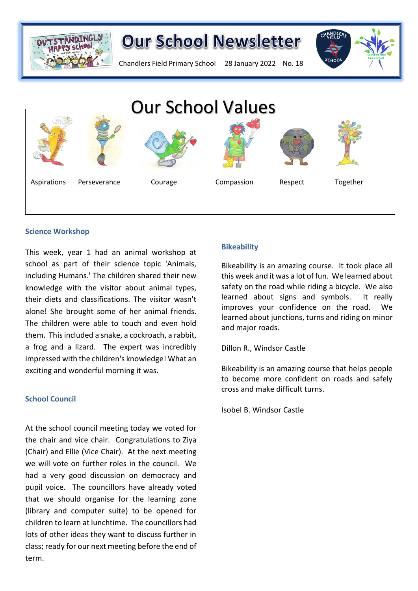

# **Our School Newsletter**

Chandlers Field Primary School 28 January 2022 No. 18





#### **Science Workshop**

This week, year 1 had an animal workshop at school as part of their science topic 'Animals, including Humans.' The children shared their new knowledge with the visitor about animal types, their diets and classifications. The visitor wasn't alone! She brought some of her animal friends. The children were able to touch and even hold them. This included a snake, a cockroach, a rabbit, a frog and a lizard. The expert was incredibly impressed with the children's knowledge! What an exciting and wonderful morning it was.

#### **School Council**

At the school council meeting today we voted for the chair and vice chair. Congratulations to Ziya (Chair) and Ellie (Vice Chair). At the next meeting we will vote on further roles in the council. We had a very good discussion on democracy and pupil voice. The councillors have already voted that we should organise for the learning zone (library and computer suite) to be opened for children to learn at lunchtime. The councillors had lots of other ideas they want to discuss further in class; ready for our next meeting before the end of term.

#### **Bikeability**

Bikeability is an amazing course. It took place all this week and it was a lot of fun. We learned about safety on the road while riding a bicycle. We also learned about signs and symbols. It really improves your confidence on the road. We learned about junctions, turns and riding on minor and major roads.

Dillon R., Windsor Castle

Bikeability is an amazing course that helps people to become more confident on roads and safely cross and make difficult turns.

Isobel B. Windsor Castle